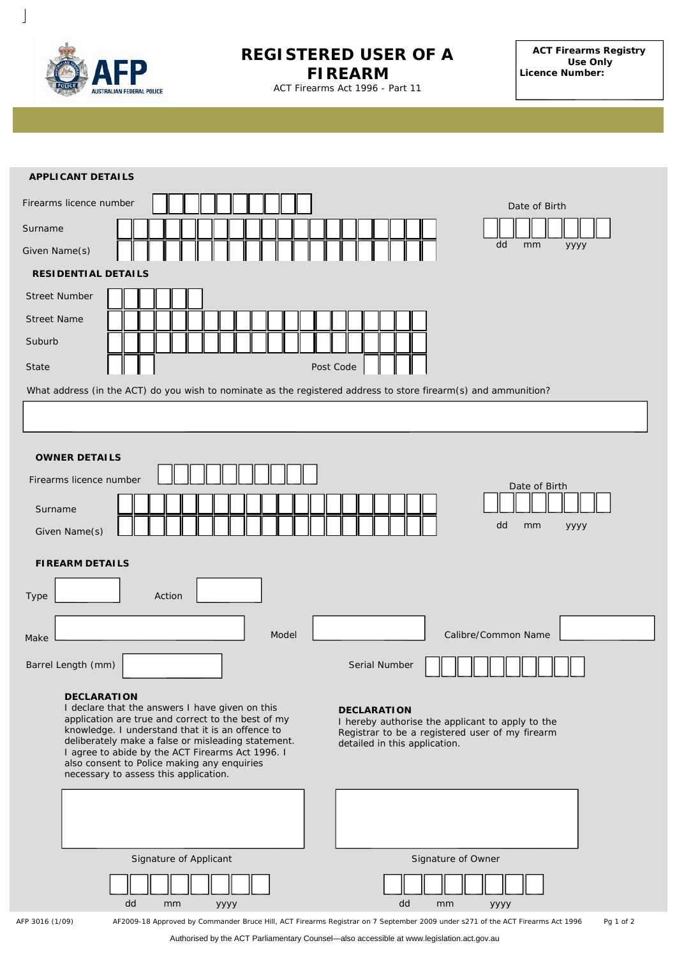

 $\overline{\phantom{a}}$ 

## **REGISTERED USER OF A FIREARM**

**ACT Firearms Registry Use Only Licence Number:**

ACT Firearms Act 1996 - Part 11

Authorised by the ACT Parliamentary Counsel—also accessible at www.legislation.act.gov.au **ADULT FIREARMS LICENCE APPLICATION** You are required to provide 100 points of identity with your application for a Firearms licence number Date of Birth المسالس المسالسيا **1. APPLICANT DETAILS** *Please Use* Given Name(s) To be completed by Street Number | | Street Name **APPLICANT DETAILS** Surname Given Name(s) dd mm yyyy **RESIDENTIAL DETAILS** Suburb State Post Code What address (in the ACT) do you wish to nominate as the registered address to store firearm(s) and ammunition? **OWNER DETAILS** Firearms licence number Surname Given Name(s) Date of Birth dd mm yyyy **FIREARM DETAILS** Type **Action** Make Make Common Name Calibre/Common Name Barrel Length (mm) | Serial Number **DECLARATION** I declare that the answers I have given on this application are true and correct to the best of my knowledge. I understand that it is an offence to deliberately make a false or misleading statement. I agree to abide by the ACT Firearms Act 1996. I also consent to Police making any enquiries necessary to assess this application. **DECLARATION** I hereby authorise the applicant to apply to the Registrar to be a registered user of my firearm detailed in this application. Signature of Applicant dd mm yyyy Signature of Owner dd mm yyyy AFP 3016 (1/09) AF2009-18 Approved by Commander Bruce Hill, ACT Firearms Registrar on 7 September 2009 under s271 of the *ACT Firearms Act 1996* Pg 1 of 2